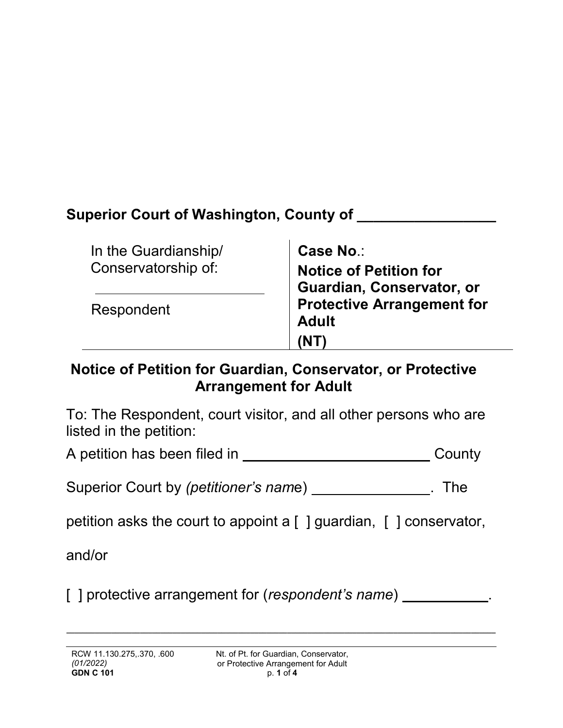# **Superior Court of Washington, County of \_\_\_\_\_\_\_\_\_\_\_\_\_\_\_\_\_**

| In the Guardianship/ | Case No.:                         |
|----------------------|-----------------------------------|
| Conservatorship of:  | <b>Notice of Petition for</b>     |
|                      | Guardian, Conservator, or         |
| Respondent           | <b>Protective Arrangement for</b> |
|                      | <b>Adult</b>                      |
|                      | 'NT                               |

### **Notice of Petition for Guardian, Conservator, or Protective Arrangement for Adult**

To: The Respondent, court visitor, and all other persons who are listed in the petition:

A petition has been filed in \_\_\_\_\_\_\_\_\_\_\_\_\_\_\_\_\_\_\_\_\_\_\_\_\_\_\_\_\_\_\_\_County

Superior Court by *(petitioner's name)* \_\_\_\_\_\_\_\_\_\_\_\_\_\_\_. The

petition asks the court to appoint a  $\lceil \cdot \rceil$  guardian,  $\lceil \cdot \rceil$  conservator,

and/or

[ ] protective arrangement for (*respondent's name*) \_\_\_\_\_\_\_\_\_\_\_\_.

**\_\_\_\_\_\_\_\_\_\_\_\_\_\_\_\_\_\_\_\_\_\_\_\_\_\_\_\_\_\_\_\_\_\_\_\_\_\_\_\_\_\_\_\_\_\_\_\_\_\_\_\_\_\_\_\_\_\_\_\_\_\_\_\_\_\_\_\_\_\_\_\_\_\_\_\_\_\_\_\_\_\_\_\_\_\_\_\_\_\_\_\_\_\_\_\_\_\_\_\_\_\_\_\_\_**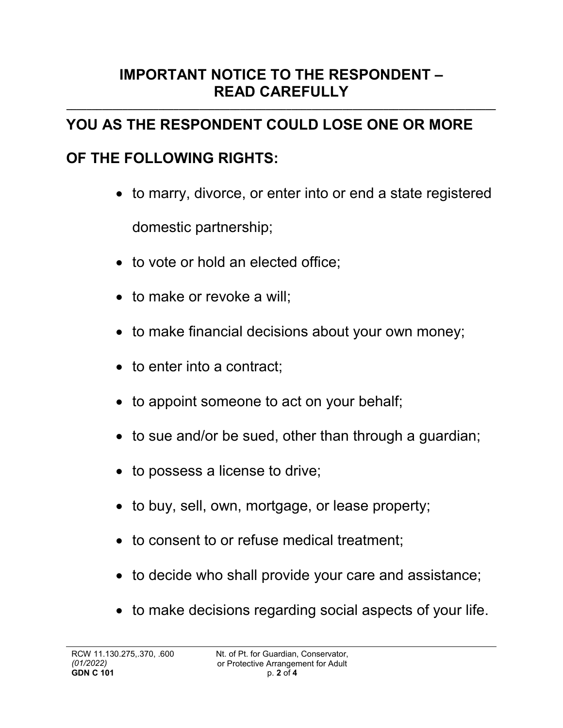### **IMPORTANT NOTICE TO THE RESPONDENT – READ CAREFULLY**

**\_\_\_\_\_\_\_\_\_\_\_\_\_\_\_\_\_\_\_\_\_\_\_\_\_\_\_\_\_\_\_\_\_\_\_\_\_\_\_\_\_\_\_\_\_\_\_\_\_\_\_\_\_\_\_\_\_\_\_\_\_\_\_\_\_\_\_\_\_\_\_\_\_\_\_\_\_\_\_\_\_\_\_\_**

# **YOU AS THE RESPONDENT COULD LOSE ONE OR MORE**

# **OF THE FOLLOWING RIGHTS:**

- to marry, divorce, or enter into or end a state registered domestic partnership;
- to vote or hold an elected office;
- to make or revoke a will;
- to make financial decisions about your own money;
- to enter into a contract;
- to appoint someone to act on your behalf;
- to sue and/or be sued, other than through a guardian;
- to possess a license to drive;
- to buy, sell, own, mortgage, or lease property;
- to consent to or refuse medical treatment:
- to decide who shall provide your care and assistance;
- to make decisions regarding social aspects of your life.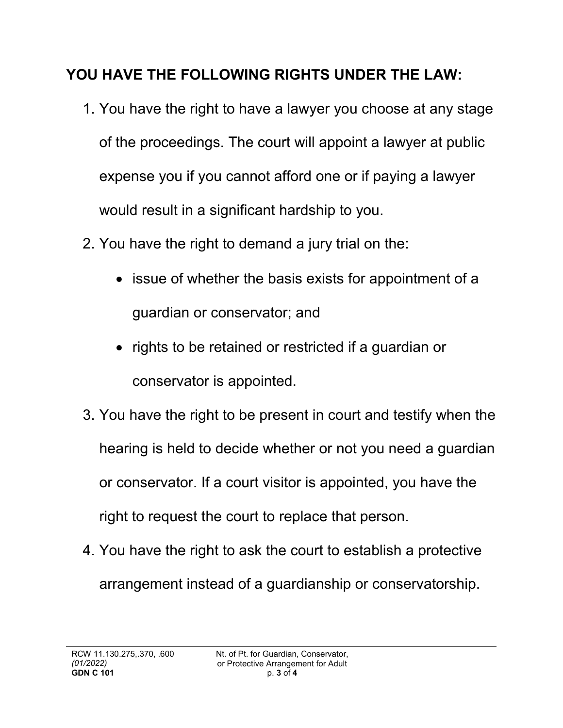# **YOU HAVE THE FOLLOWING RIGHTS UNDER THE LAW:**

- 1. You have the right to have a lawyer you choose at any stage of the proceedings. The court will appoint a lawyer at public expense you if you cannot afford one or if paying a lawyer would result in a significant hardship to you.
- 2. You have the right to demand a jury trial on the:
	- issue of whether the basis exists for appointment of a guardian or conservator; and
	- rights to be retained or restricted if a guardian or conservator is appointed.
- 3. You have the right to be present in court and testify when the hearing is held to decide whether or not you need a guardian or conservator. If a court visitor is appointed, you have the right to request the court to replace that person.
- 4. You have the right to ask the court to establish a protective arrangement instead of a guardianship or conservatorship.